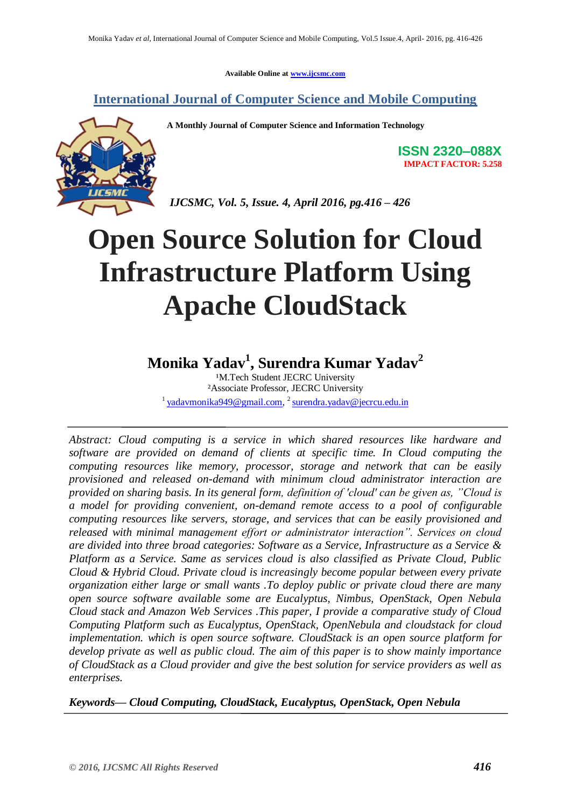**Available Online at [www.ijcsmc.com](http://www.ijcsmc.com/)**

**International Journal of Computer Science and Mobile Computing**



**A Monthly Journal of Computer Science and Information Technology**

**ISSN 2320–088X IMPACT FACTOR: 5.258**

*IJCSMC, Vol. 5, Issue. 4, April 2016, pg.416 – 426*

# **Open Source Solution for Cloud Infrastructure Platform Using Apache CloudStack**

### **Monika Yadav<sup>1</sup> , Surendra Kumar Yadav<sup>2</sup>**

<sup>1</sup>M.Tech Student JECRC University ²Associate Professor, JECRC University <sup>1</sup> [yadavmonika949@gmail.com,](mailto:yadavmonika949@gmail.com) <sup>2</sup> [surendra.yadav@jecrcu.edu.in](mailto:surendra.yadav@jecrcu.edu.in)

*Abstract: Cloud computing is a service in which shared resources like hardware and software are provided on demand of clients at specific time. In Cloud computing the computing resources like memory, processor, storage and network that can be easily provisioned and released on-demand with minimum cloud administrator interaction are provided on sharing basis. In its general form, definition of 'cloud' can be given as, "Cloud is a model for providing convenient, on-demand remote access to a pool of configurable computing resources like servers, storage, and services that can be easily provisioned and released with minimal management effort or administrator interaction". Services on cloud are divided into three broad categories: Software as a Service, Infrastructure as a Service & Platform as a Service. Same as services cloud is also classified as Private Cloud, Public Cloud & Hybrid Cloud. Private cloud is increasingly become popular between every private organization either large or small wants .To deploy public or private cloud there are many open source software available some are Eucalyptus, Nimbus, OpenStack, Open Nebula Cloud stack and Amazon Web Services .This paper, I provide a comparative study of Cloud Computing Platform such as Eucalyptus, OpenStack, OpenNebula and cloudstack for cloud implementation. which is open source software. CloudStack is an open source platform for develop private as well as public cloud. The aim of this paper is to show mainly importance of CloudStack as a Cloud provider and give the best solution for service providers as well as enterprises.*

*Keywords— Cloud Computing, CloudStack, Eucalyptus, OpenStack, Open Nebula*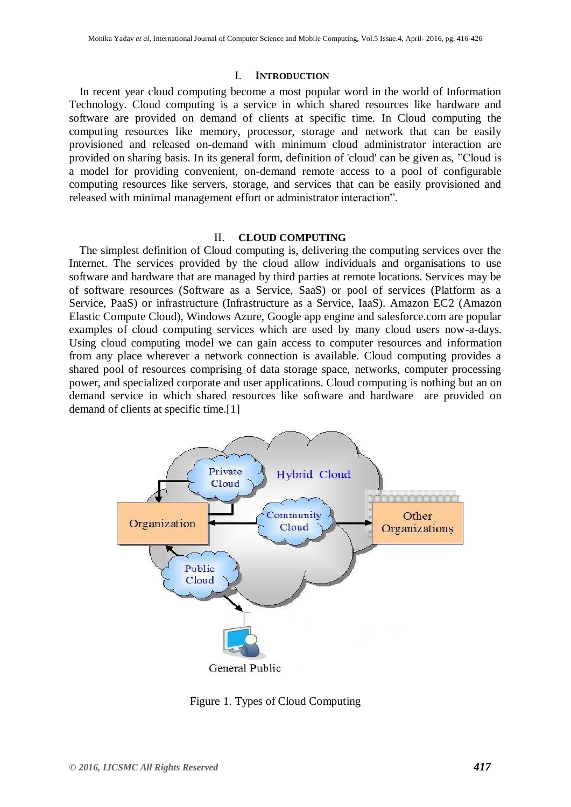#### I. **INTRODUCTION**

In recent year cloud computing become a most popular word in the world of Information Technology. Cloud computing is a service in which shared resources like hardware and software are provided on demand of clients at specific time. In Cloud computing the computing resources like memory, processor, storage and network that can be easily provisioned and released on-demand with minimum cloud administrator interaction are provided on sharing basis. In its general form, definition of 'cloud' can be given as, "Cloud is a model for providing convenient, on-demand remote access to a pool of configurable computing resources like servers, storage, and services that can be easily provisioned and released with minimal management effort or administrator interaction".

#### II. **CLOUD COMPUTING**

The simplest definition of Cloud computing is, delivering the computing services over the Internet. The services provided by the cloud allow individuals and organisations to use software and hardware that are managed by third parties at remote locations. Services may be of software resources (Software as a Service, SaaS) or pool of services (Platform as a Service, PaaS) or infrastructure (Infrastructure as a Service, IaaS). Amazon EC2 (Amazon Elastic Compute Cloud), Windows Azure, Google app engine and salesforce.com are popular examples of cloud computing services which are used by many cloud users now-a-days. Using cloud computing model we can gain access to computer resources and information from any place wherever a network connection is available. Cloud computing provides a shared pool of resources comprising of data storage space, networks, computer processing power, and specialized corporate and user applications. Cloud computing is nothing but an on demand service in which shared resources like software and hardware are provided on demand of clients at specific time.[1]



Figure 1. Types of Cloud Computing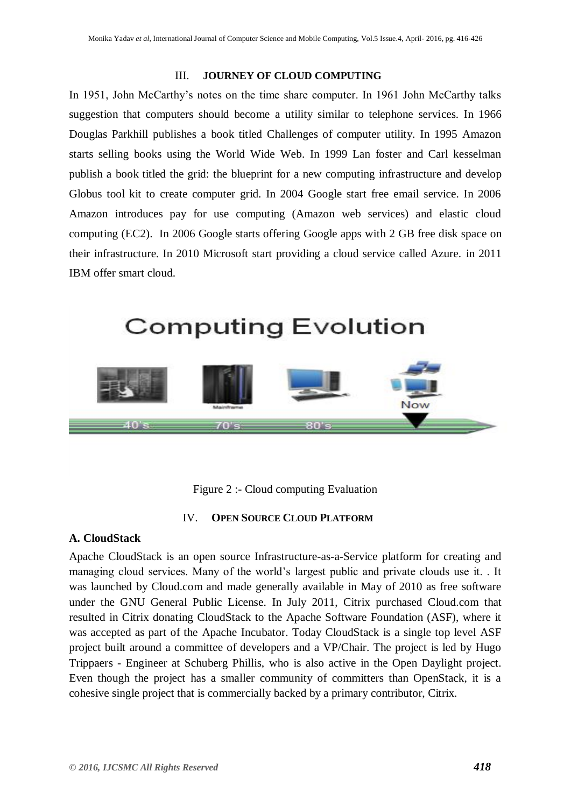#### III. **JOURNEY OF CLOUD COMPUTING**

In 1951, John McCarthy's notes on the time share computer. In 1961 John McCarthy talks suggestion that computers should become a utility similar to telephone services. In 1966 Douglas Parkhill publishes a book titled Challenges of computer utility. In 1995 Amazon starts selling books using the World Wide Web. In 1999 Lan foster and Carl kesselman publish a book titled the grid: the blueprint for a new computing infrastructure and develop Globus tool kit to create computer grid. In 2004 Google start free email service. In 2006 Amazon introduces pay for use computing (Amazon web services) and elastic cloud computing (EC2). In 2006 Google starts offering Google apps with 2 GB free disk space on their infrastructure. In 2010 Microsoft start providing a cloud service called Azure. in 2011 IBM offer smart cloud.

## **Computing Evolution**



Figure 2 :- Cloud computing Evaluation

#### IV. **OPEN SOURCE CLOUD PLATFORM**

#### **A. CloudStack**

Apache CloudStack is an open source Infrastructure-as-a-Service platform for creating and managing cloud services. Many of the world's largest public and private clouds use it. . It was launched by Cloud.com and made generally available in May of 2010 as free software under the GNU General Public License. In July 2011, Citrix purchased Cloud.com that resulted in Citrix donating CloudStack to the Apache Software Foundation (ASF), where it was accepted as part of the Apache Incubator. Today CloudStack is a single top level ASF project built around a committee of developers and a VP/Chair. The project is led by Hugo Trippaers - Engineer at Schuberg Phillis, who is also active in the Open Daylight project. Even though the project has a smaller community of committers than OpenStack, it is a cohesive single project that is commercially backed by a primary contributor, Citrix.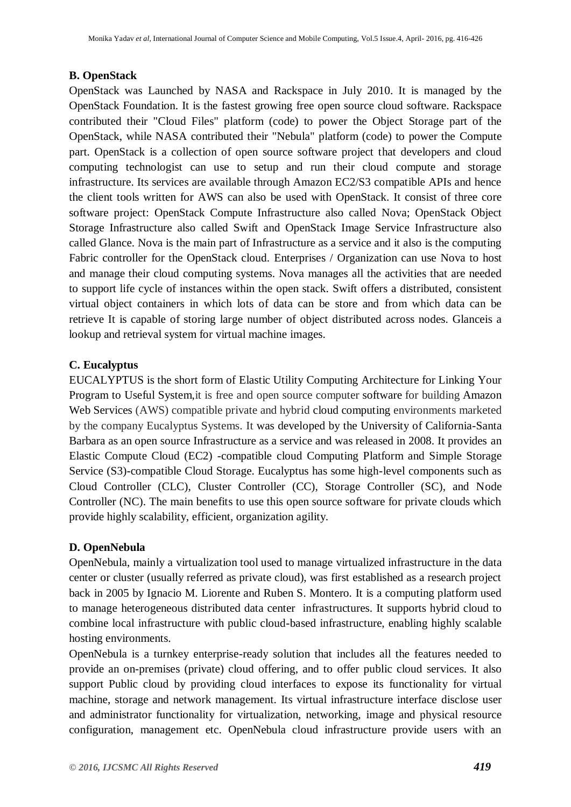#### **B. OpenStack**

OpenStack was Launched by NASA and Rackspace in July 2010. It is managed by the OpenStack Foundation. It is the fastest growing free open source cloud software. Rackspace contributed their "Cloud Files" platform (code) to power the Object Storage part of the OpenStack, while NASA contributed their "Nebula" platform (code) to power the Compute part. OpenStack is a collection of open source software project that developers and cloud computing technologist can use to setup and run their cloud compute and storage infrastructure. Its services are available through Amazon EC2/S3 compatible APIs and hence the client tools written for AWS can also be used with OpenStack. It consist of three core software project: OpenStack Compute Infrastructure also called Nova; OpenStack Object Storage Infrastructure also called Swift and OpenStack Image Service Infrastructure also called Glance. Nova is the main part of Infrastructure as a service and it also is the computing Fabric controller for the OpenStack cloud. Enterprises / Organization can use Nova to host and manage their cloud computing systems. Nova manages all the activities that are needed to support life cycle of instances within the open stack. Swift offers a distributed, consistent virtual object containers in which lots of data can be store and from which data can be retrieve It is capable of storing large number of object distributed across nodes. Glanceis a lookup and retrieval system for virtual machine images.

#### **C. Eucalyptus**

EUCALYPTUS is the short form of Elastic Utility Computing Architecture for Linking Your Program to Useful System,it is free and open source computer software for building Amazon Web Services (AWS) compatible private and hybrid cloud computing environments marketed by the company Eucalyptus Systems. It was developed by the University of California-Santa Barbara as an open source Infrastructure as a service and was released in 2008. It provides an Elastic Compute Cloud (EC2) -compatible cloud Computing Platform and Simple Storage Service (S3)-compatible Cloud Storage. Eucalyptus has some high-level components such as Cloud Controller (CLC), Cluster Controller (CC), Storage Controller (SC), and Node Controller (NC). The main benefits to use this open source software for private clouds which provide highly scalability, efficient, organization agility.

#### **D. OpenNebula**

OpenNebula, mainly a virtualization tool used to manage virtualized infrastructure in the data center or cluster (usually referred as private cloud), was first established as a research project back in 2005 by Ignacio M. Liorente and Ruben S. Montero. It is a computing platform used to manage heterogeneous distributed data center infrastructures. It supports hybrid cloud to combine local infrastructure with public cloud-based infrastructure, enabling highly scalable hosting environments.

OpenNebula is a turnkey enterprise-ready solution that includes all the features needed to provide an on-premises (private) cloud offering, and to offer public cloud services. It also support Public cloud by providing cloud interfaces to expose its functionality for virtual machine, storage and network management. Its virtual infrastructure interface disclose user and administrator functionality for virtualization, networking, image and physical resource configuration, management etc. OpenNebula cloud infrastructure provide users with an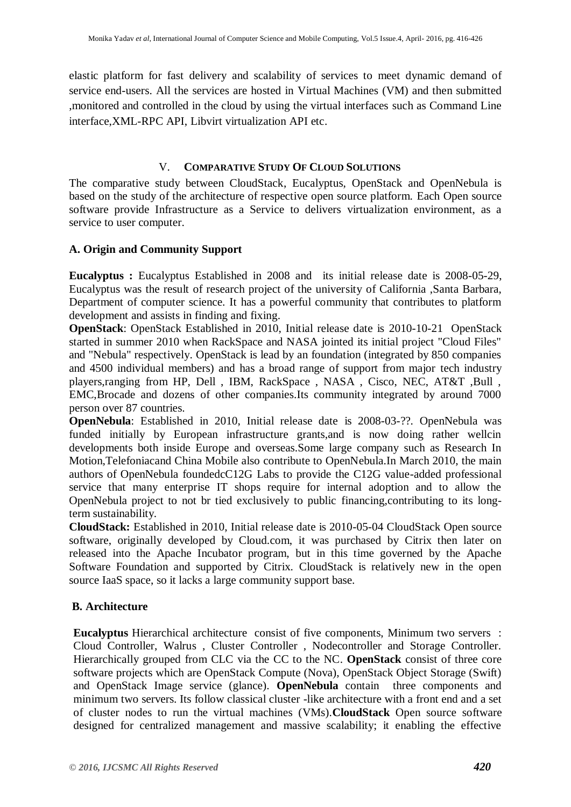elastic platform for fast delivery and scalability of services to meet dynamic demand of service end-users. All the services are hosted in Virtual Machines (VM) and then submitted ,monitored and controlled in the cloud by using the virtual interfaces such as Command Line interface,XML-RPC API, Libvirt virtualization API etc.

#### V. **COMPARATIVE STUDY OF CLOUD SOLUTIONS**

The comparative study between CloudStack, Eucalyptus, OpenStack and OpenNebula is based on the study of the architecture of respective open source platform. Each Open source software provide Infrastructure as a Service to delivers virtualization environment, as a service to user computer.

#### **A. Origin and Community Support**

**Eucalyptus :** Eucalyptus Established in 2008 and its initial release date is 2008-05-29, Eucalyptus was the result of research project of the university of California ,Santa Barbara, Department of computer science. It has a powerful community that contributes to platform development and assists in finding and fixing.

**OpenStack**: OpenStack Established in 2010, Initial release date is 2010-10-21 OpenStack started in summer 2010 when RackSpace and NASA jointed its initial project "Cloud Files" and "Nebula" respectively. OpenStack is lead by an foundation (integrated by 850 companies and 4500 individual members) and has a broad range of support from major tech industry players,ranging from HP, Dell , IBM, RackSpace , NASA , Cisco, NEC, AT&T ,Bull , EMC,Brocade and dozens of other companies.Its community integrated by around 7000 person over 87 countries.

**OpenNebula**: Established in 2010, Initial release date is 2008-03-??. OpenNebula was funded initially by European infrastructure grants,and is now doing rather wellcin developments both inside Europe and overseas.Some large company such as Research In Motion,Telefoniacand China Mobile also contribute to OpenNebula.In March 2010, the main authors of OpenNebula foundedcC12G Labs to provide the C12G value-added professional service that many enterprise IT shops require for internal adoption and to allow the OpenNebula project to not br tied exclusively to public financing,contributing to its longterm sustainability.

**CloudStack:** Established in 2010, Initial release date is 2010-05-04 CloudStack Open source software, originally developed by Cloud.com, it was purchased by Citrix then later on released into the Apache Incubator program, but in this time governed by the Apache Software Foundation and supported by Citrix. CloudStack is relatively new in the open source IaaS space, so it lacks a large community support base.

#### **B. Architecture**

**Eucalyptus** Hierarchical architecture consist of five components, Minimum two servers : Cloud Controller, Walrus , Cluster Controller , Nodecontroller and Storage Controller. Hierarchically grouped from CLC via the CC to the NC. **OpenStack** consist of three core software projects which are OpenStack Compute (Nova), OpenStack Object Storage (Swift) and OpenStack Image service (glance). **OpenNebula** contain three components and minimum two servers. Its follow classical cluster -like architecture with a front end and a set of cluster nodes to run the virtual machines (VMs).**CloudStack** Open source software designed for centralized management and massive scalability; it enabling the effective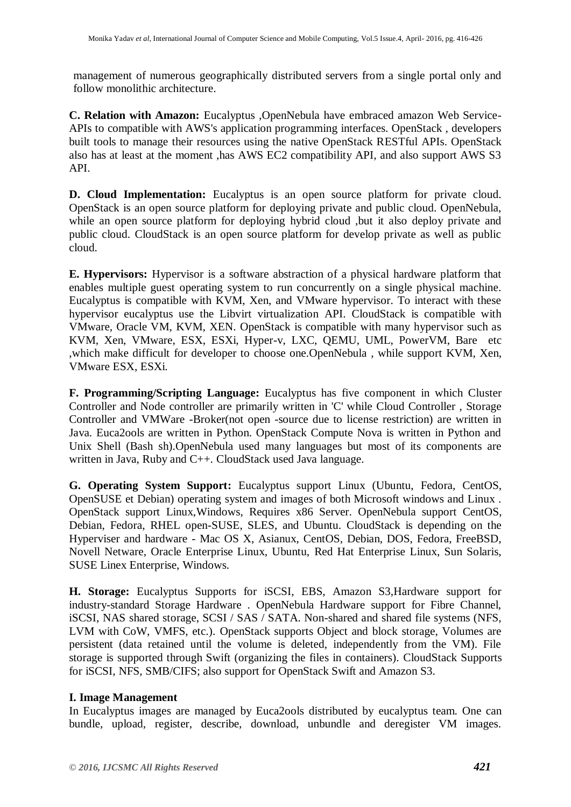management of numerous geographically distributed servers from a single portal only and follow monolithic architecture.

**C. Relation with Amazon:** Eucalyptus ,OpenNebula have embraced amazon Web Service-APIs to compatible with AWS's application programming interfaces. OpenStack , developers built tools to manage their resources using the native OpenStack RESTful APIs. OpenStack also has at least at the moment ,has AWS EC2 compatibility API, and also support AWS S3 API.

**D. Cloud Implementation:** Eucalyptus is an open source platform for private cloud. OpenStack is an open source platform for deploying private and public cloud. OpenNebula, while an open source platform for deploying hybrid cloud ,but it also deploy private and public cloud. CloudStack is an open source platform for develop private as well as public cloud.

**E. Hypervisors:** Hypervisor is a software abstraction of a physical hardware platform that enables multiple guest operating system to run concurrently on a single physical machine. Eucalyptus is compatible with KVM, Xen, and VMware hypervisor. To interact with these hypervisor eucalyptus use the Libvirt virtualization API. CloudStack is compatible with VMware, Oracle VM, KVM, XEN. OpenStack is compatible with many hypervisor such as KVM, Xen, VMware, ESX, ESXi, Hyper-v, LXC, QEMU, UML, PowerVM, Bare etc ,which make difficult for developer to choose one.OpenNebula , while support KVM, Xen, VMware ESX, ESXi.

**F. Programming/Scripting Language:** Eucalyptus has five component in which Cluster Controller and Node controller are primarily written in 'C' while Cloud Controller , Storage Controller and VMWare -Broker(not open -source due to license restriction) are written in Java. Euca2ools are written in Python. OpenStack Compute Nova is written in Python and Unix Shell (Bash sh).OpenNebula used many languages but most of its components are written in Java, Ruby and C++. CloudStack used Java language.

**G. Operating System Support:** Eucalyptus support Linux (Ubuntu, Fedora, CentOS, OpenSUSE et Debian) operating system and images of both Microsoft windows and Linux . OpenStack support Linux,Windows, Requires x86 Server. OpenNebula support CentOS, Debian, Fedora, RHEL open-SUSE, SLES, and Ubuntu. CloudStack is depending on the Hyperviser and hardware - Mac OS X, Asianux, CentOS, Debian, DOS, Fedora, FreeBSD, Novell Netware, Oracle Enterprise Linux, Ubuntu, Red Hat Enterprise Linux, Sun Solaris, SUSE Linex Enterprise, Windows.

**H. Storage:** Eucalyptus Supports for iSCSI, EBS, Amazon S3,Hardware support for industry-standard Storage Hardware . OpenNebula Hardware support for Fibre Channel, iSCSI, NAS shared storage, SCSI / SAS / SATA. Non-shared and shared file systems (NFS, LVM with CoW, VMFS, etc.). OpenStack supports Object and block storage, Volumes are persistent (data retained until the volume is deleted, independently from the VM). File storage is supported through Swift (organizing the files in containers). CloudStack Supports for iSCSI, NFS, SMB/CIFS; also support for OpenStack Swift and Amazon S3.

#### **I. Image Management**

In Eucalyptus images are managed by Euca2ools distributed by eucalyptus team. One can bundle, upload, register, describe, download, unbundle and deregister VM images.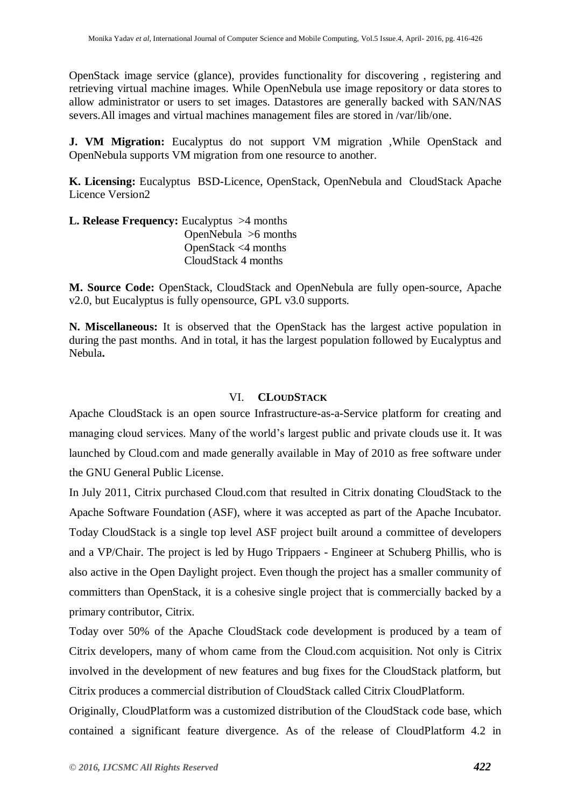OpenStack image service (glance), provides functionality for discovering , registering and retrieving virtual machine images. While OpenNebula use image repository or data stores to allow administrator or users to set images. Datastores are generally backed with SAN/NAS severs.All images and virtual machines management files are stored in /var/lib/one.

**J. VM Migration:** Eucalyptus do not support VM migration , While OpenStack and OpenNebula supports VM migration from one resource to another.

**K. Licensing:** Eucalyptus BSD-Licence, OpenStack, OpenNebula and CloudStack Apache Licence Version2

**L. Release Frequency:** Eucalyptus >4 months OpenNebula >6 months OpenStack <4 months CloudStack 4 months

**M. Source Code:** OpenStack, CloudStack and OpenNebula are fully open-source, Apache v2.0, but Eucalyptus is fully opensource, GPL v3.0 supports.

**N. Miscellaneous:** It is observed that the OpenStack has the largest active population in during the past months. And in total, it has the largest population followed by Eucalyptus and Nebula**.**

#### VI. **CLOUDSTACK**

Apache CloudStack is an open source Infrastructure-as-a-Service platform for creating and managing cloud services. Many of the world's largest public and private clouds use it. It was launched by Cloud.com and made generally available in May of 2010 as free software under the GNU General Public License.

In July 2011, Citrix purchased Cloud.com that resulted in Citrix donating CloudStack to the Apache Software Foundation (ASF), where it was accepted as part of the Apache Incubator. Today CloudStack is a single top level ASF project built around a committee of developers and a VP/Chair. The project is led by Hugo Trippaers - Engineer at Schuberg Phillis, who is also active in the Open Daylight project. Even though the project has a smaller community of committers than OpenStack, it is a cohesive single project that is commercially backed by a primary contributor, Citrix.

Today over 50% of the Apache CloudStack code development is produced by a team of Citrix developers, many of whom came from the Cloud.com acquisition. Not only is Citrix involved in the development of new features and bug fixes for the CloudStack platform, but Citrix produces a commercial distribution of CloudStack called Citrix CloudPlatform.

Originally, CloudPlatform was a customized distribution of the CloudStack code base, which contained a significant feature divergence. As of the release of CloudPlatform 4.2 in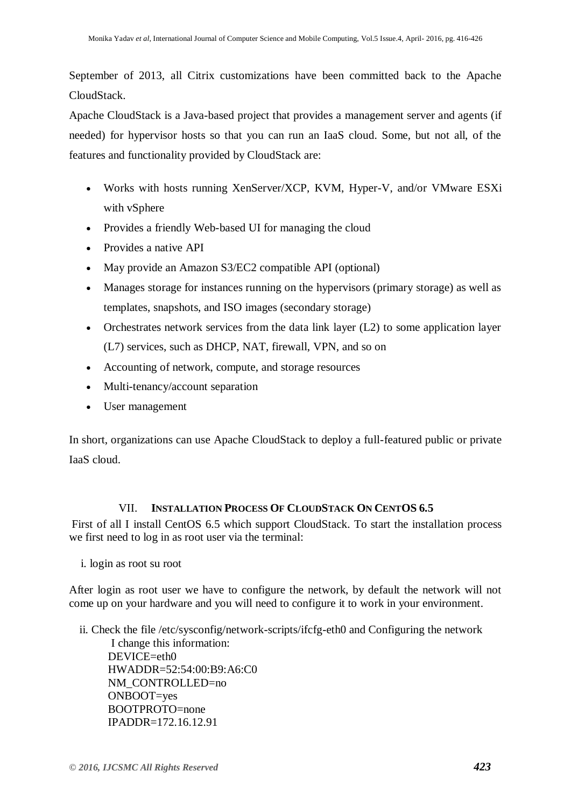September of 2013, all Citrix customizations have been committed back to the Apache CloudStack.

Apache CloudStack is a Java-based project that provides a management server and agents (if needed) for hypervisor hosts so that you can run an IaaS cloud. Some, but not all, of the features and functionality provided by CloudStack are:

- Works with hosts running XenServer/XCP, KVM, Hyper-V, and/or VMware ESXi with vSphere
- Provides a friendly Web-based UI for managing the cloud
- Provides a native API
- May provide an Amazon S3/EC2 compatible API (optional)
- Manages storage for instances running on the hypervisors (primary storage) as well as templates, snapshots, and ISO images (secondary storage)
- Orchestrates network services from the data link layer  $(L2)$  to some application layer (L7) services, such as DHCP, NAT, firewall, VPN, and so on
- Accounting of network, compute, and storage resources
- Multi-tenancy/account separation
- User management

In short, organizations can use Apache CloudStack to deploy a full-featured public or private IaaS cloud.

#### VII. **INSTALLATION PROCESS OF CLOUDSTACK ON CENTOS 6.5**

First of all I install CentOS 6.5 which support CloudStack. To start the installation process we first need to log in as root user via the terminal:

i. login as root su root

After login as root user we have to configure the network, by default the network will not come up on your hardware and you will need to configure it to work in your environment.

ii. Check the file /etc/sysconfig/network-scripts/ifcfg-eth0 and Configuring the network

 I change this information: DEVICE=eth0 HWADDR=52:54:00:B9:A6:C0 NM\_CONTROLLED=no ONBOOT=yes BOOTPROTO=none IPADDR=172.16.12.91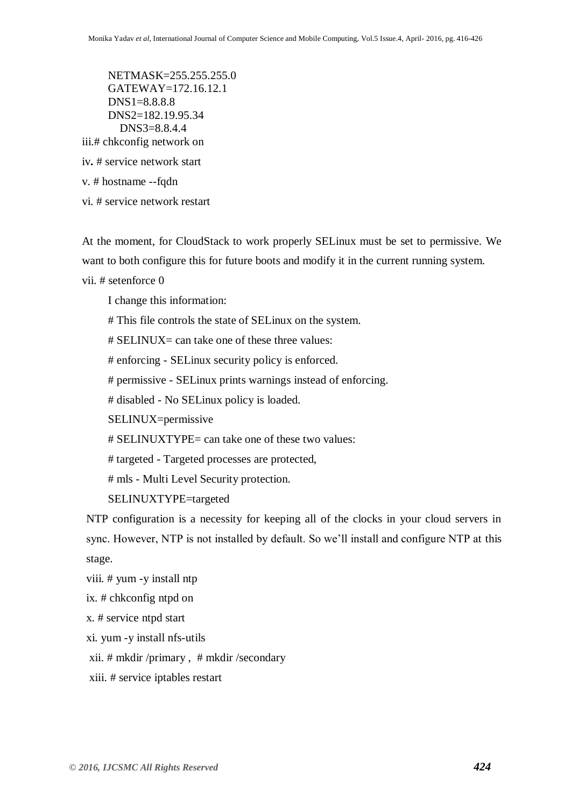NETMASK=255.255.255.0 GATEWAY=172.16.12.1 DNS1=8.8.8.8 DNS2=182.19.95.34 DNS3=8.8.4.4 iii.# chkconfig network on

iv**.** # service network start

v. # hostname --fqdn

vi. # service network restart

At the moment, for CloudStack to work properly SELinux must be set to permissive. We want to both configure this for future boots and modify it in the current running system.

vii. # setenforce 0

I change this information:

# This file controls the state of SELinux on the system.

# SELINUX= can take one of these three values:

# enforcing - SELinux security policy is enforced.

# permissive - SELinux prints warnings instead of enforcing.

# disabled - No SELinux policy is loaded.

SELINUX=permissive

# SELINUXTYPE= can take one of these two values:

# targeted - Targeted processes are protected,

# mls - Multi Level Security protection.

SELINUXTYPE=targeted

NTP configuration is a necessity for keeping all of the clocks in your cloud servers in sync. However, NTP is not installed by default. So we'll install and configure NTP at this stage.

viii. # yum -y install ntp

ix. # chkconfig ntpd on

x. # service ntpd start

xi. yum -y install nfs-utils

xii. # mkdir /primary , # mkdir /secondary

xiii. # service iptables restart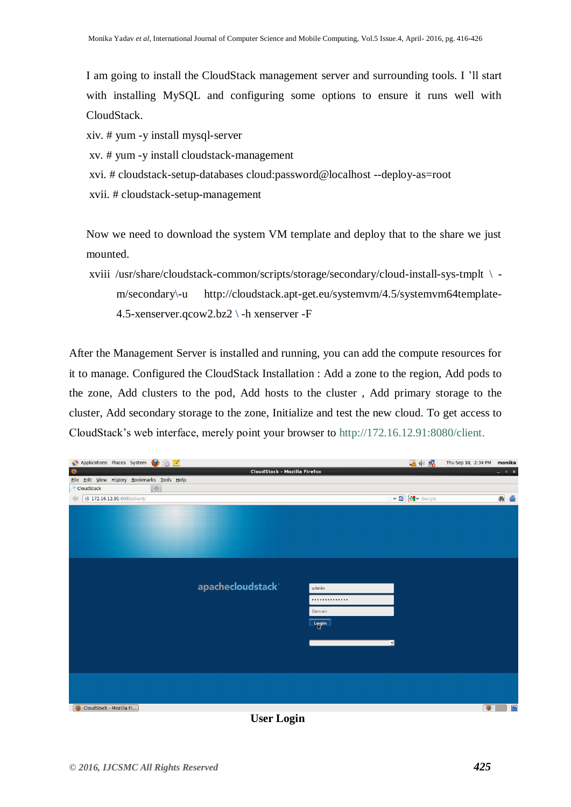I am going to install the CloudStack management server and surrounding tools. I 'll start with installing MySQL and configuring some options to ensure it runs well with CloudStack.

xiv. # yum -y install mysql-server

- xv. # yum -y install cloudstack-management
- xvi. # cloudstack-setup-databases cloud:password@localhost --deploy-as=root
- xvii. # cloudstack-setup-management

Now we need to download the system VM template and deploy that to the share we just mounted.

xviii /usr/share/cloudstack-common/scripts/storage/secondary/cloud-install-sys-tmplt **\** m/secondary**\**-u http://cloudstack.apt-get.eu/systemvm/4.5/systemvm64template-4.5-xenserver.qcow2.bz2 **\** -h xenserver -F

After the Management Server is installed and running, you can add the compute resources for it to manage. Configured the CloudStack Installation : Add a zone to the region, Add pods to the zone, Add clusters to the pod, Add hosts to the cluster , Add primary storage to the cluster, Add secondary storage to the zone, Initialize and test the new cloud. To get access to CloudStack's web interface, merely point your browser to http://172.16.12.91:8080/client.



**User Login**